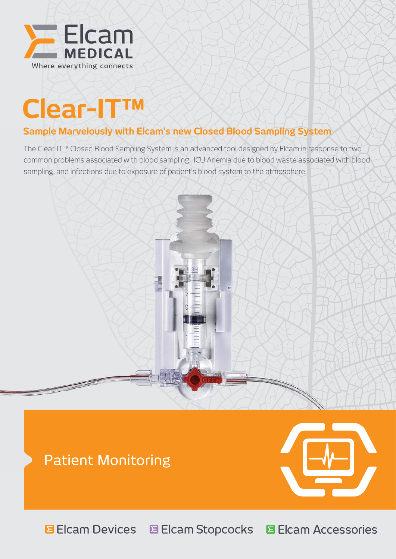

# **Clear-IT™**

## **Sample Marvelously with Elcam's new Closed Blood Sampling System**

The Clear-IT™ Closed Blood Sampling System is an advanced tool designed by Elcam in response to two common problems associated with blood sampling: ICU Anemia due to blood waste associated with blood sampling, and infections due to exposure of patient's blood system to the atmosphere.



# Patient Monitoring



**E** Elcam Devices E Elcam Stopcocks **El Cam Accessories**